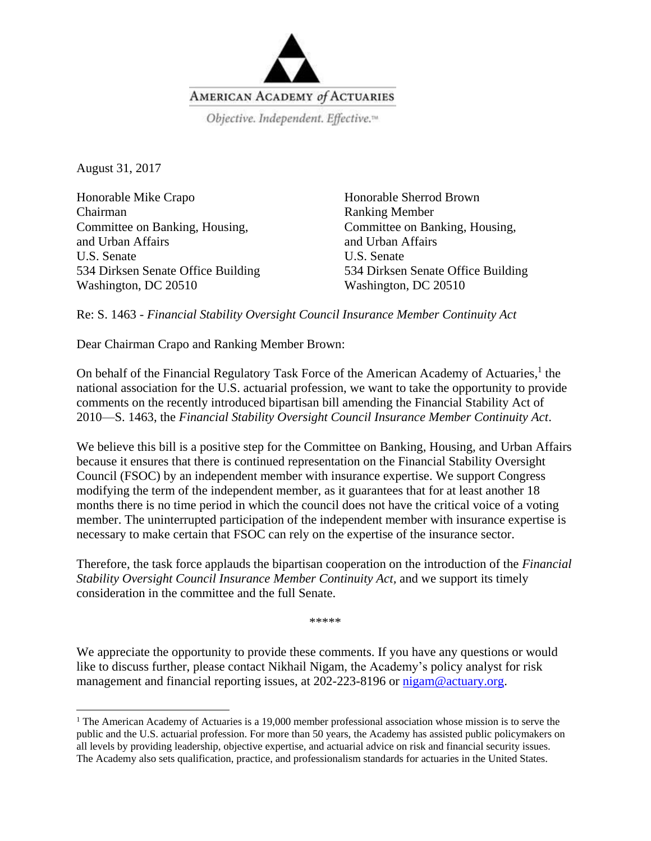

August 31, 2017

 $\overline{\phantom{a}}$ 

Honorable Mike Crapo Chairman Committee on Banking, Housing, and Urban Affairs U.S. Senate 534 Dirksen Senate Office Building Washington, DC 20510

Honorable Sherrod Brown Ranking Member Committee on Banking, Housing, and Urban Affairs U.S. Senate 534 Dirksen Senate Office Building Washington, DC 20510

Re: S. 1463 - *Financial Stability Oversight Council Insurance Member Continuity Act*

Dear Chairman Crapo and Ranking Member Brown:

On behalf of the Financial Regulatory Task Force of the American Academy of Actuaries,<sup>1</sup> the national association for the U.S. actuarial profession, we want to take the opportunity to provide comments on the recently introduced bipartisan bill amending the Financial Stability Act of 2010—S. 1463, the *Financial Stability Oversight Council Insurance Member Continuity Act*.

We believe this bill is a positive step for the Committee on Banking, Housing, and Urban Affairs because it ensures that there is continued representation on the Financial Stability Oversight Council (FSOC) by an independent member with insurance expertise. We support Congress modifying the term of the independent member, as it guarantees that for at least another 18 months there is no time period in which the council does not have the critical voice of a voting member. The uninterrupted participation of the independent member with insurance expertise is necessary to make certain that FSOC can rely on the expertise of the insurance sector.

Therefore, the task force applauds the bipartisan cooperation on the introduction of the *Financial Stability Oversight Council Insurance Member Continuity Act,* and we support its timely consideration in the committee and the full Senate.

\*\*\*\*\*

We appreciate the opportunity to provide these comments. If you have any questions or would like to discuss further, please contact Nikhail Nigam, the Academy's policy analyst for risk management and financial reporting issues, at 202-223-8196 or  $\frac{m\gamma}{2}$  actuary.org.

<sup>&</sup>lt;sup>1</sup> The American Academy of Actuaries is a 19,000 member professional association whose mission is to serve the public and the U.S. actuarial profession. For more than 50 years, the Academy has assisted public policymakers on all levels by providing leadership, objective expertise, and actuarial advice on risk and financial security issues. The Academy also sets qualification, practice, and professionalism standards for actuaries in the United States.